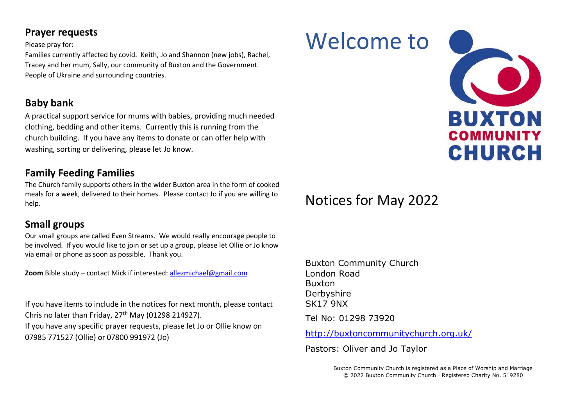### **Prayer requests**

#### Please pray for:

Families currently affected by covid. Keith, Jo and Shannon (new jobs), Rachel, Tracey and her mum, Sally, our community of Buxton and the Government. People of Ukraine and surrounding countries.

# **Baby bank**

A practical support service for mums with babies, providing much needed clothing, bedding and other items. Currently this is running from the church building. If you have any items to donate or can offer help with washing, sorting or delivering, please let Jo know.

## **Family Feeding Families**

The Church family supports others in the wider Buxton area in the form of cooked meals for a week, delivered to their homes. Please contact Jo if you are willing to help.

# **Small groups**

Our small groups are called Even Streams. We would really encourage people to be involved. If you would like to join or set up a group, please let Ollie or Jo know via email or phone as soon as possible. Thank you.

**Zoom** Bible study – contact Mick if interested: [allezmichael@gmail.com](mailto:allezmichael@gmail.com)

If you have items to include in the notices for next month, please contact Chris no later than Friday, 27<sup>th</sup> May (01298 214927). If you have any specific prayer requests, please let Jo or Ollie know on 07985 771527 (Ollie) or 07800 991972 (Jo)

# Welcome to



# Notices for May 2022

Buxton Community Church London Road Buxton Derbyshire SK17 9NX Tel No: 01298 73920

<http://buxtoncommunitychurch.org.uk/>

Pastors: Oliver and Jo Taylor

Buxton Community Church is registered as a Place of Worship and Marriage © 2022 Buxton Community Church · Registered Charity No. 519280